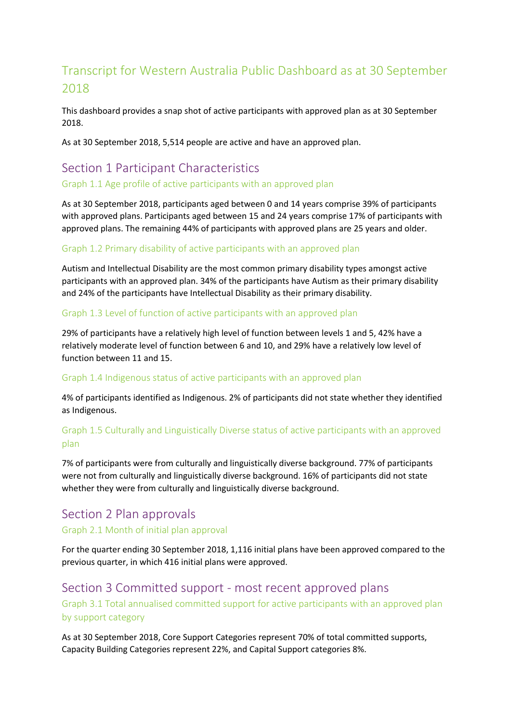# Transcript for Western Australia Public Dashboard as at 30 September 2018

This dashboard provides a snap shot of active participants with approved plan as at 30 September 2018.

As at 30 September 2018, 5,514 people are active and have an approved plan.

# Section 1 Participant Characteristics

Graph 1.1 Age profile of active participants with an approved plan

As at 30 September 2018, participants aged between 0 and 14 years comprise 39% of participants with approved plans. Participants aged between 15 and 24 years comprise 17% of participants with approved plans. The remaining 44% of participants with approved plans are 25 years and older.

### Graph 1.2 Primary disability of active participants with an approved plan

Autism and Intellectual Disability are the most common primary disability types amongst active participants with an approved plan. 34% of the participants have Autism as their primary disability and 24% of the participants have Intellectual Disability as their primary disability.

#### Graph 1.3 Level of function of active participants with an approved plan

29% of participants have a relatively high level of function between levels 1 and 5, 42% have a relatively moderate level of function between 6 and 10, and 29% have a relatively low level of function between 11 and 15.

#### Graph 1.4 Indigenous status of active participants with an approved plan

4% of participants identified as Indigenous. 2% of participants did not state whether they identified as Indigenous.

# Graph 1.5 Culturally and Linguistically Diverse status of active participants with an approved plan

7% of participants were from culturally and linguistically diverse background. 77% of participants were not from culturally and linguistically diverse background. 16% of participants did not state whether they were from culturally and linguistically diverse background.

# Section 2 Plan approvals

#### Graph 2.1 Month of initial plan approval

For the quarter ending 30 September 2018, 1,116 initial plans have been approved compared to the previous quarter, in which 416 initial plans were approved.

# Section 3 Committed support - most recent approved plans

Graph 3.1 Total annualised committed support for active participants with an approved plan by support category

As at 30 September 2018, Core Support Categories represent 70% of total committed supports, Capacity Building Categories represent 22%, and Capital Support categories 8%.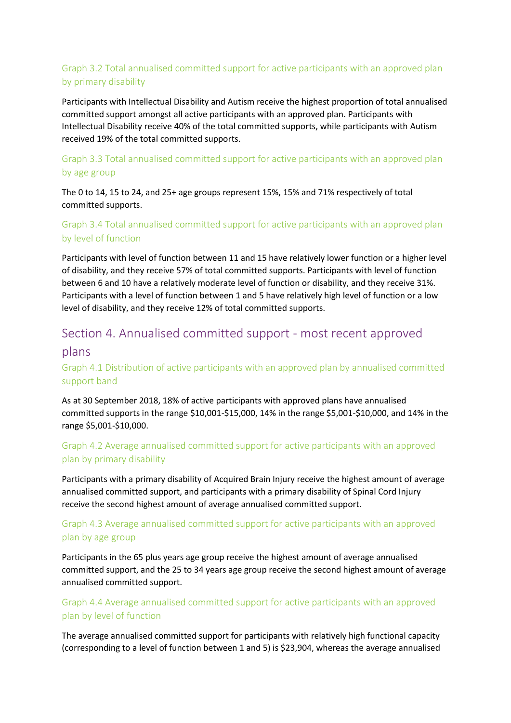# Graph 3.2 Total annualised committed support for active participants with an approved plan by primary disability

Participants with Intellectual Disability and Autism receive the highest proportion of total annualised committed support amongst all active participants with an approved plan. Participants with Intellectual Disability receive 40% of the total committed supports, while participants with Autism received 19% of the total committed supports.

# Graph 3.3 Total annualised committed support for active participants with an approved plan by age group

The 0 to 14, 15 to 24, and 25+ age groups represent 15%, 15% and 71% respectively of total committed supports.

### Graph 3.4 Total annualised committed support for active participants with an approved plan by level of function

Participants with level of function between 11 and 15 have relatively lower function or a higher level of disability, and they receive 57% of total committed supports. Participants with level of function between 6 and 10 have a relatively moderate level of function or disability, and they receive 31%. Participants with a level of function between 1 and 5 have relatively high level of function or a low level of disability, and they receive 12% of total committed supports.

# Section 4. Annualised committed support - most recent approved

### plans

# Graph 4.1 Distribution of active participants with an approved plan by annualised committed support band

As at 30 September 2018, 18% of active participants with approved plans have annualised committed supports in the range \$10,001-\$15,000, 14% in the range \$5,001-\$10,000, and 14% in the range \$5,001-\$10,000.

### Graph 4.2 Average annualised committed support for active participants with an approved plan by primary disability

Participants with a primary disability of Acquired Brain Injury receive the highest amount of average annualised committed support, and participants with a primary disability of Spinal Cord Injury receive the second highest amount of average annualised committed support.

### Graph 4.3 Average annualised committed support for active participants with an approved plan by age group

Participants in the 65 plus years age group receive the highest amount of average annualised committed support, and the 25 to 34 years age group receive the second highest amount of average annualised committed support.

### Graph 4.4 Average annualised committed support for active participants with an approved plan by level of function

The average annualised committed support for participants with relatively high functional capacity (corresponding to a level of function between 1 and 5) is \$23,904, whereas the average annualised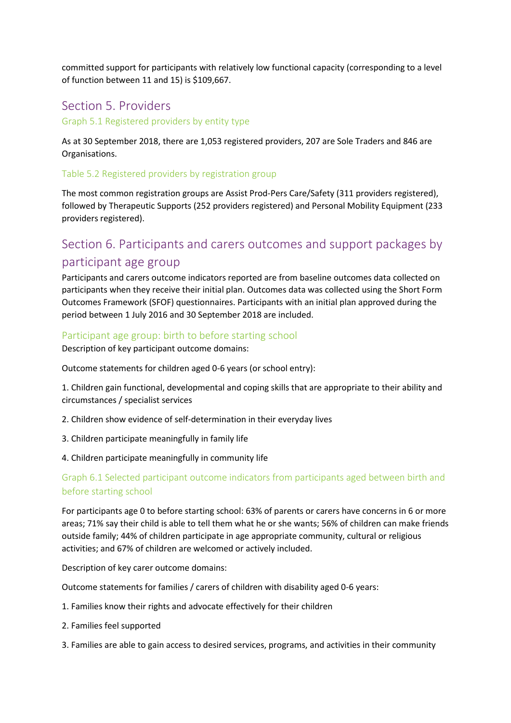committed support for participants with relatively low functional capacity (corresponding to a level of function between 11 and 15) is \$109,667.

# Section 5. Providers

Graph 5.1 Registered providers by entity type

As at 30 September 2018, there are 1,053 registered providers, 207 are Sole Traders and 846 are Organisations.

#### Table 5.2 Registered providers by registration group

The most common registration groups are Assist Prod-Pers Care/Safety (311 providers registered), followed by Therapeutic Supports (252 providers registered) and Personal Mobility Equipment (233 providers registered).

# Section 6. Participants and carers outcomes and support packages by participant age group

Participants and carers outcome indicators reported are from baseline outcomes data collected on participants when they receive their initial plan. Outcomes data was collected using the Short Form Outcomes Framework (SFOF) questionnaires. Participants with an initial plan approved during the period between 1 July 2016 and 30 September 2018 are included.

#### Participant age group: birth to before starting school

Description of key participant outcome domains:

Outcome statements for children aged 0-6 years (or school entry):

1. Children gain functional, developmental and coping skills that are appropriate to their ability and circumstances / specialist services

- 2. Children show evidence of self-determination in their everyday lives
- 3. Children participate meaningfully in family life
- 4. Children participate meaningfully in community life

### Graph 6.1 Selected participant outcome indicators from participants aged between birth and before starting school

For participants age 0 to before starting school: 63% of parents or carers have concerns in 6 or more areas; 71% say their child is able to tell them what he or she wants; 56% of children can make friends outside family; 44% of children participate in age appropriate community, cultural or religious activities; and 67% of children are welcomed or actively included.

Description of key carer outcome domains:

Outcome statements for families / carers of children with disability aged 0-6 years:

- 1. Families know their rights and advocate effectively for their children
- 2. Families feel supported
- 3. Families are able to gain access to desired services, programs, and activities in their community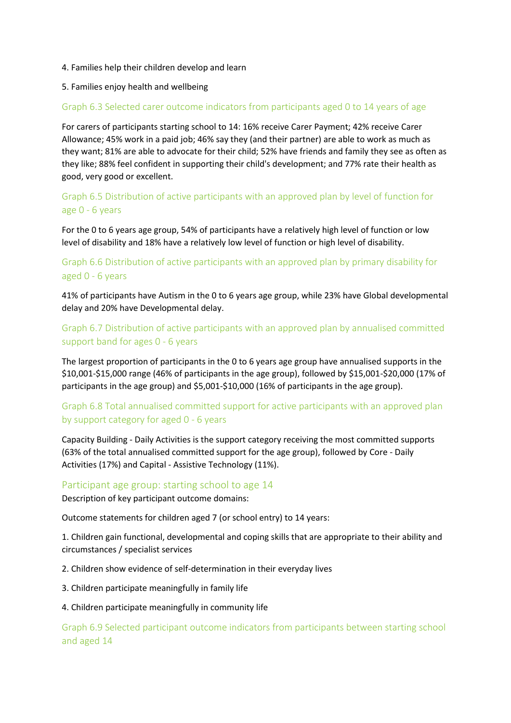#### 4. Families help their children develop and learn

#### 5. Families enjoy health and wellbeing

#### Graph 6.3 Selected carer outcome indicators from participants aged 0 to 14 years of age

For carers of participants starting school to 14: 16% receive Carer Payment; 42% receive Carer Allowance; 45% work in a paid job; 46% say they (and their partner) are able to work as much as they want; 81% are able to advocate for their child; 52% have friends and family they see as often as they like; 88% feel confident in supporting their child's development; and 77% rate their health as good, very good or excellent.

### Graph 6.5 Distribution of active participants with an approved plan by level of function for age 0 - 6 years

For the 0 to 6 years age group, 54% of participants have a relatively high level of function or low level of disability and 18% have a relatively low level of function or high level of disability.

### Graph 6.6 Distribution of active participants with an approved plan by primary disability for aged 0 - 6 years

41% of participants have Autism in the 0 to 6 years age group, while 23% have Global developmental delay and 20% have Developmental delay.

### Graph 6.7 Distribution of active participants with an approved plan by annualised committed support band for ages 0 - 6 years

The largest proportion of participants in the 0 to 6 years age group have annualised supports in the \$10,001-\$15,000 range (46% of participants in the age group), followed by \$15,001-\$20,000 (17% of participants in the age group) and \$5,001-\$10,000 (16% of participants in the age group).

### Graph 6.8 Total annualised committed support for active participants with an approved plan by support category for aged 0 - 6 years

Capacity Building - Daily Activities is the support category receiving the most committed supports (63% of the total annualised committed support for the age group), followed by Core - Daily Activities (17%) and Capital - Assistive Technology (11%).

#### Participant age group: starting school to age 14

Description of key participant outcome domains:

Outcome statements for children aged 7 (or school entry) to 14 years:

1. Children gain functional, developmental and coping skills that are appropriate to their ability and circumstances / specialist services

2. Children show evidence of self-determination in their everyday lives

3. Children participate meaningfully in family life

#### 4. Children participate meaningfully in community life

Graph 6.9 Selected participant outcome indicators from participants between starting school and aged 14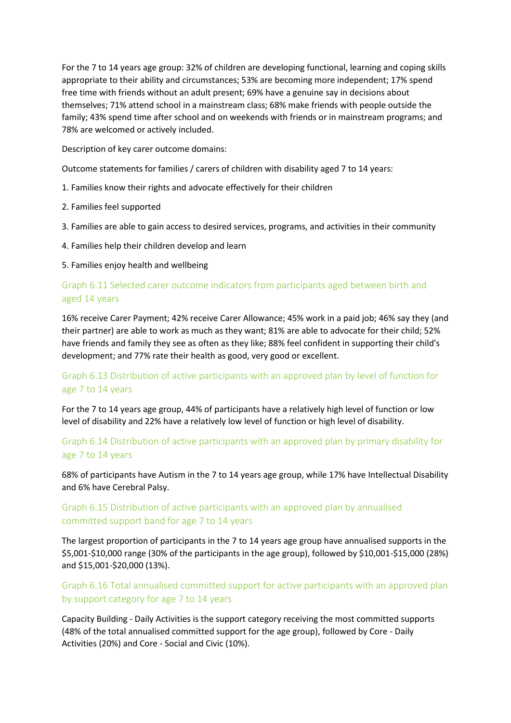For the 7 to 14 years age group: 32% of children are developing functional, learning and coping skills appropriate to their ability and circumstances; 53% are becoming more independent; 17% spend free time with friends without an adult present; 69% have a genuine say in decisions about themselves; 71% attend school in a mainstream class; 68% make friends with people outside the family; 43% spend time after school and on weekends with friends or in mainstream programs; and 78% are welcomed or actively included.

Description of key carer outcome domains:

Outcome statements for families / carers of children with disability aged 7 to 14 years:

- 1. Families know their rights and advocate effectively for their children
- 2. Families feel supported
- 3. Families are able to gain access to desired services, programs, and activities in their community
- 4. Families help their children develop and learn

5. Families enjoy health and wellbeing

### Graph 6.11 Selected carer outcome indicators from participants aged between birth and aged 14 years

16% receive Carer Payment; 42% receive Carer Allowance; 45% work in a paid job; 46% say they (and their partner) are able to work as much as they want; 81% are able to advocate for their child; 52% have friends and family they see as often as they like; 88% feel confident in supporting their child's development; and 77% rate their health as good, very good or excellent.

### Graph 6.13 Distribution of active participants with an approved plan by level of function for age 7 to 14 years

For the 7 to 14 years age group, 44% of participants have a relatively high level of function or low level of disability and 22% have a relatively low level of function or high level of disability.

### Graph 6.14 Distribution of active participants with an approved plan by primary disability for age 7 to 14 years

68% of participants have Autism in the 7 to 14 years age group, while 17% have Intellectual Disability and 6% have Cerebral Palsy.

# Graph 6.15 Distribution of active participants with an approved plan by annualised committed support band for age 7 to 14 years

The largest proportion of participants in the 7 to 14 years age group have annualised supports in the \$5,001-\$10,000 range (30% of the participants in the age group), followed by \$10,001-\$15,000 (28%) and \$15,001-\$20,000 (13%).

### Graph 6.16 Total annualised committed support for active participants with an approved plan by support category for age 7 to 14 years

Capacity Building - Daily Activities is the support category receiving the most committed supports (48% of the total annualised committed support for the age group), followed by Core - Daily Activities (20%) and Core - Social and Civic (10%).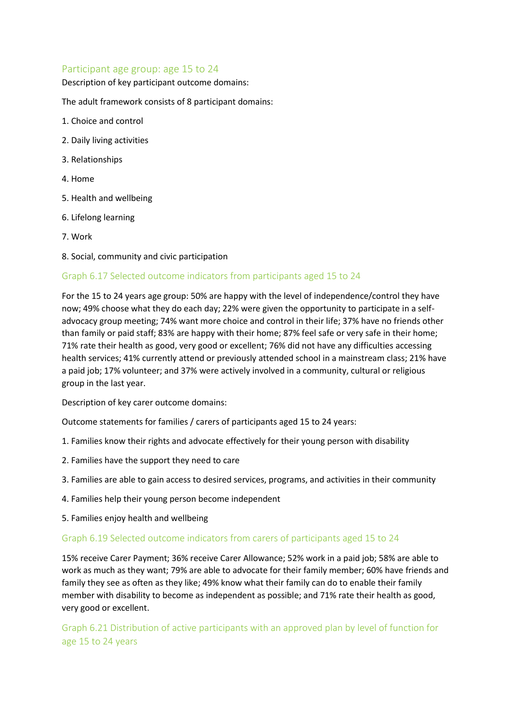#### Participant age group: age 15 to 24

Description of key participant outcome domains:

The adult framework consists of 8 participant domains:

- 1. Choice and control
- 2. Daily living activities
- 3. Relationships
- 4. Home
- 5. Health and wellbeing
- 6. Lifelong learning
- 7. Work
- 8. Social, community and civic participation

#### Graph 6.17 Selected outcome indicators from participants aged 15 to 24

For the 15 to 24 years age group: 50% are happy with the level of independence/control they have now; 49% choose what they do each day; 22% were given the opportunity to participate in a selfadvocacy group meeting; 74% want more choice and control in their life; 37% have no friends other than family or paid staff; 83% are happy with their home; 87% feel safe or very safe in their home; 71% rate their health as good, very good or excellent; 76% did not have any difficulties accessing health services; 41% currently attend or previously attended school in a mainstream class; 21% have a paid job; 17% volunteer; and 37% were actively involved in a community, cultural or religious group in the last year.

Description of key carer outcome domains:

Outcome statements for families / carers of participants aged 15 to 24 years:

- 1. Families know their rights and advocate effectively for their young person with disability
- 2. Families have the support they need to care
- 3. Families are able to gain access to desired services, programs, and activities in their community
- 4. Families help their young person become independent
- 5. Families enjoy health and wellbeing

#### Graph 6.19 Selected outcome indicators from carers of participants aged 15 to 24

15% receive Carer Payment; 36% receive Carer Allowance; 52% work in a paid job; 58% are able to work as much as they want; 79% are able to advocate for their family member; 60% have friends and family they see as often as they like; 49% know what their family can do to enable their family member with disability to become as independent as possible; and 71% rate their health as good, very good or excellent.

Graph 6.21 Distribution of active participants with an approved plan by level of function for age 15 to 24 years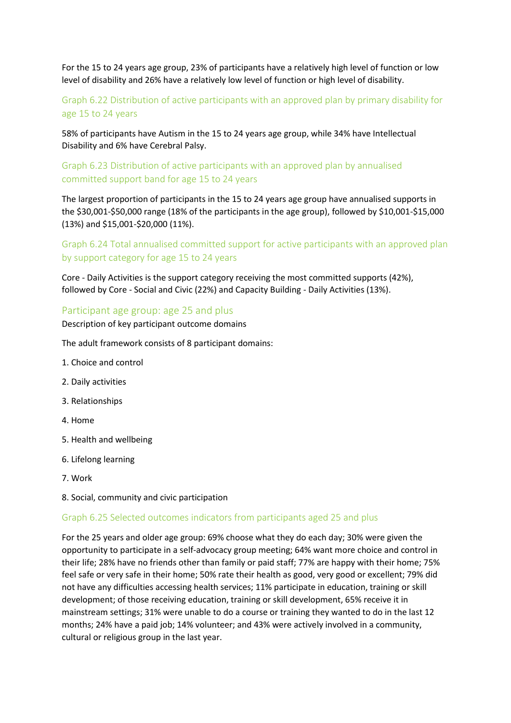For the 15 to 24 years age group, 23% of participants have a relatively high level of function or low level of disability and 26% have a relatively low level of function or high level of disability.

# Graph 6.22 Distribution of active participants with an approved plan by primary disability for age 15 to 24 years

58% of participants have Autism in the 15 to 24 years age group, while 34% have Intellectual Disability and 6% have Cerebral Palsy.

#### Graph 6.23 Distribution of active participants with an approved plan by annualised committed support band for age 15 to 24 years

The largest proportion of participants in the 15 to 24 years age group have annualised supports in the \$30,001-\$50,000 range (18% of the participants in the age group), followed by \$10,001-\$15,000 (13%) and \$15,001-\$20,000 (11%).

# Graph 6.24 Total annualised committed support for active participants with an approved plan by support category for age 15 to 24 years

Core - Daily Activities is the support category receiving the most committed supports (42%), followed by Core - Social and Civic (22%) and Capacity Building - Daily Activities (13%).

#### Participant age group: age 25 and plus

Description of key participant outcome domains

The adult framework consists of 8 participant domains:

- 1. Choice and control
- 2. Daily activities
- 3. Relationships
- 4. Home
- 5. Health and wellbeing
- 6. Lifelong learning
- 7. Work
- 8. Social, community and civic participation

#### Graph 6.25 Selected outcomes indicators from participants aged 25 and plus

For the 25 years and older age group: 69% choose what they do each day; 30% were given the opportunity to participate in a self-advocacy group meeting; 64% want more choice and control in their life; 28% have no friends other than family or paid staff; 77% are happy with their home; 75% feel safe or very safe in their home; 50% rate their health as good, very good or excellent; 79% did not have any difficulties accessing health services; 11% participate in education, training or skill development; of those receiving education, training or skill development, 65% receive it in mainstream settings; 31% were unable to do a course or training they wanted to do in the last 12 months; 24% have a paid job; 14% volunteer; and 43% were actively involved in a community, cultural or religious group in the last year.